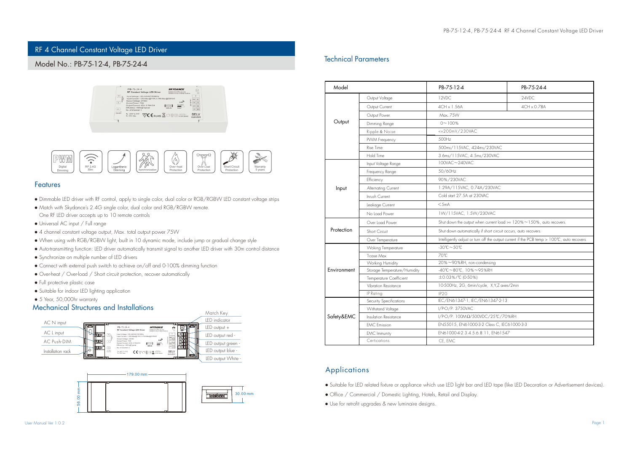# RF 4 Channel Constant Voltage LED Driver

## Model No.: PB-75-12-4, PB-75-24-4





### **Features**

- Dimmable LED driver with RF control, apply to single color, dual color or RGB/RGBW LED constant voltage strips
- Match with Skydance's 2.4G single color, dual color and RGB/RGBW remote.
- One RF LED driver accepts up to 10 remote controls
- Universal AC input / Full range
- 4 channel constant voltage output, Max. total output power 75W
- When using with RGB/RGBW light, built in 10 dynamic mode, include jump or gradual change style
- Auto-transmitting function: LED driver automatically transmit signal to another LED driver with 30m control distance
- Synchronize on multiple number of LED drivers
- Connect with external push switch to achieve on/off and 0-100% dimming function
- Over-heat / Over-load / Short circuit protection, recover automatically
- Full protective plastic case
- Suitable for indoor LED lighting application
- 5 Year, 50,000hr warranty

### Mechanical Structures and Installations





### Technical Parameters

| Model       |                              | PB-75-12-4                                                                                  | PB-75-24-4  |  |  |
|-------------|------------------------------|---------------------------------------------------------------------------------------------|-------------|--|--|
|             | Output Voltage               | 12VDC                                                                                       | 24VDC       |  |  |
|             | Output Current               | 4CH x 1.56A                                                                                 | 4CH x 0.78A |  |  |
|             | Output Power                 | Max. 7.5W                                                                                   |             |  |  |
| Output      | Dimming Range                | $0 - 100%$                                                                                  |             |  |  |
|             | Ripple & Noise               | <= 200mV/230VAC                                                                             |             |  |  |
|             | PVVM Frequency               | 500Hz                                                                                       |             |  |  |
|             | Rise Time                    | 500ms/115VAC, 424ms/230VAC                                                                  |             |  |  |
|             | Hold Time                    | 3.6ms/115VAC, 4.5ms/230VAC                                                                  |             |  |  |
|             | Input Voltage Range          | 100VAC~240VAC                                                                               |             |  |  |
|             | Frequency Range              | 50/60Hz                                                                                     |             |  |  |
|             | Efficiency                   | 90%/230VAC                                                                                  |             |  |  |
| Input       | Alternating Current          | 1.29A/115VAC, 0.74A/230VAC                                                                  |             |  |  |
|             | Innish Current               | Cold start 27.5A at 230VAC                                                                  |             |  |  |
|             | Leakage Current              | $<$ 5mA                                                                                     |             |  |  |
|             | No Load Power                | 1W/115VAC, 1.5W/230VAC                                                                      |             |  |  |
|             | Over Load Power              | Shut down the output when current load $>= 120\% \sim 150\%$ , auto recovers.               |             |  |  |
| Protection  | Short Circuit                | Shut down automatically if short circuit occurs, auto recovers.                             |             |  |  |
|             | Over Temperature             | Intelligently adjust or turn off the output current if the PCB temp > 100°C, auto recovers. |             |  |  |
|             | Woking Temperature           | $-30^{\circ}\text{C} \sim 50^{\circ}\text{C}$                                               |             |  |  |
|             | T-case Max                   | 70°C                                                                                        |             |  |  |
|             | Working Humidity             | 20%~90%RH, non-condensing                                                                   |             |  |  |
| Environment | Storage Temperature/Humidity | -40°C~80°C, 10%~95%RH                                                                       |             |  |  |
|             | Temperature Coefficient      | ±0.03%/℃ (0-50%)                                                                            |             |  |  |
|             | Vibration Resistance         | 10-500Hz, 2G, 6min/cycle, X,Y,Z axes/2min                                                   |             |  |  |
|             | IP Rating                    | IP20                                                                                        |             |  |  |
|             | Security Specifications      | IEC/EN61347-1, IEC/EN61347-2-13                                                             |             |  |  |
|             | Withstand Voltage            | I/P-O/P: 3750VAC                                                                            |             |  |  |
| Safety&EMC  | Insulation Resistance        | I/PO/P: 100ΜΩ/500VDC/25℃/70%RH                                                              |             |  |  |
|             | <b>EMC</b> Emission          | EN55015, EN61000-3-2 Class C, IEC61000-3-3                                                  |             |  |  |
|             | <b>EMC</b> Immunity          | EN61000-4-2.3.4.5.6.8.11, EN61547                                                           |             |  |  |
|             | Certications                 | CE, EMC                                                                                     |             |  |  |

## Applications

- Suitable for LED related fixture or appliance which use LED light bar and LED tape (like LED Decoration or Advertisement devices).
- Office / Commercial / Domestic Lighting, Hotels, Retail and Display.
- Use for retrofit upgrades & new luminaire designs.